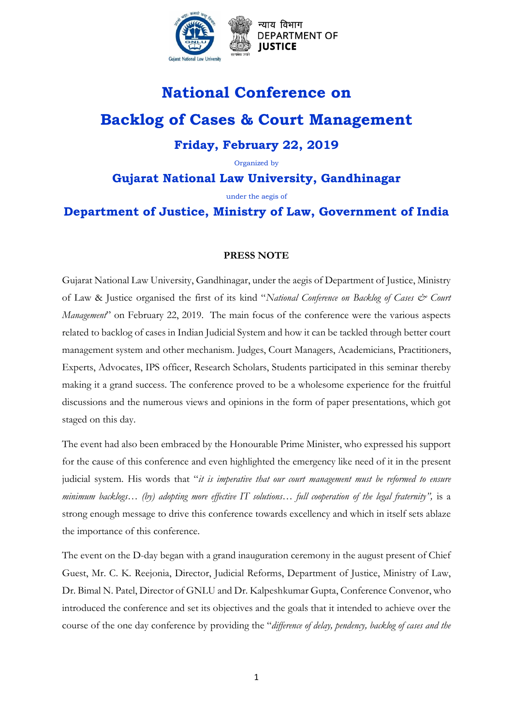

न्याय विभाग **DEPARTMENT OF** 

## **National Conference on**

# **Backlog of Cases & Court Management Friday, February 22, 2019**

Organized by

### **Gujarat National Law University, Gandhinagar**

under the aegis of

### **Department of Justice, Ministry of Law, Government of India**

#### **PRESS NOTE**

Gujarat National Law University, Gandhinagar, under the aegis of Department of Justice, Ministry of Law & Justice organised the first of its kind "*National Conference on Backlog of Cases & Court Management*" on February 22, 2019. The main focus of the conference were the various aspects related to backlog of cases in Indian Judicial System and how it can be tackled through better court management system and other mechanism. Judges, Court Managers, Academicians, Practitioners, Experts, Advocates, IPS officer, Research Scholars, Students participated in this seminar thereby making it a grand success. The conference proved to be a wholesome experience for the fruitful discussions and the numerous views and opinions in the form of paper presentations, which got staged on this day.

The event had also been embraced by the Honourable Prime Minister, who expressed his support for the cause of this conference and even highlighted the emergency like need of it in the present judicial system. His words that "*it is imperative that our court management must be reformed to ensure minimum backlogs… (by) adopting more effective IT solutions… full cooperation of the legal fraternity",* is a strong enough message to drive this conference towards excellency and which in itself sets ablaze the importance of this conference.

The event on the D-day began with a grand inauguration ceremony in the august present of Chief Guest, Mr. C. K. Reejonia, Director, Judicial Reforms, Department of Justice, Ministry of Law, Dr. Bimal N. Patel, Director of GNLU and Dr. Kalpeshkumar Gupta, Conference Convenor, who introduced the conference and set its objectives and the goals that it intended to achieve over the course of the one day conference by providing the "*difference of delay, pendency, backlog of cases and the*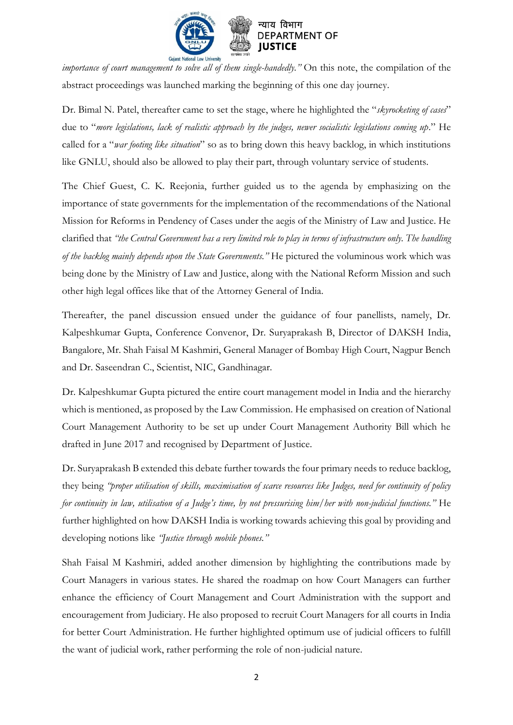

*importance of court management to solve all of them single-handedly."* On this note, the compilation of the abstract proceedings was launched marking the beginning of this one day journey.

Dr. Bimal N. Patel, thereafter came to set the stage, where he highlighted the "*skyrocketing of cases*" due to "*more legislations, lack of realistic approach by the judges, newer socialistic legislations coming up*." He called for a "*war footing like situation*" so as to bring down this heavy backlog, in which institutions like GNLU, should also be allowed to play their part, through voluntary service of students.

The Chief Guest, C. K. Reejonia, further guided us to the agenda by emphasizing on the importance of state governments for the implementation of the recommendations of the National Mission for Reforms in Pendency of Cases under the aegis of the Ministry of Law and Justice. He clarified that *"the Central Government has a very limited role to play in terms of infrastructure only. The handling of the backlog mainly depends upon the State Governments."* He pictured the voluminous work which was being done by the Ministry of Law and Justice, along with the National Reform Mission and such other high legal offices like that of the Attorney General of India.

Thereafter, the panel discussion ensued under the guidance of four panellists, namely, Dr. Kalpeshkumar Gupta, Conference Convenor, Dr. Suryaprakash B, Director of DAKSH India, Bangalore, Mr. Shah Faisal M Kashmiri, General Manager of Bombay High Court, Nagpur Bench and Dr. Saseendran C., Scientist, NIC, Gandhinagar.

Dr. Kalpeshkumar Gupta pictured the entire court management model in India and the hierarchy which is mentioned, as proposed by the Law Commission. He emphasised on creation of National Court Management Authority to be set up under Court Management Authority Bill which he drafted in June 2017 and recognised by Department of Justice.

Dr. Suryaprakash B extended this debate further towards the four primary needs to reduce backlog, they being *"proper utilisation of skills, maximisation of scarce resources like Judges, need for continuity of policy for continuity in law, utilisation of a Judge's time, by not pressurising him/her with non-judicial functions."* He further highlighted on how DAKSH India is working towards achieving this goal by providing and developing notions like *"Justice through mobile phones."*

Shah Faisal M Kashmiri, added another dimension by highlighting the contributions made by Court Managers in various states. He shared the roadmap on how Court Managers can further enhance the efficiency of Court Management and Court Administration with the support and encouragement from Judiciary. He also proposed to recruit Court Managers for all courts in India for better Court Administration. He further highlighted optimum use of judicial officers to fulfill the want of judicial work, rather performing the role of non-judicial nature.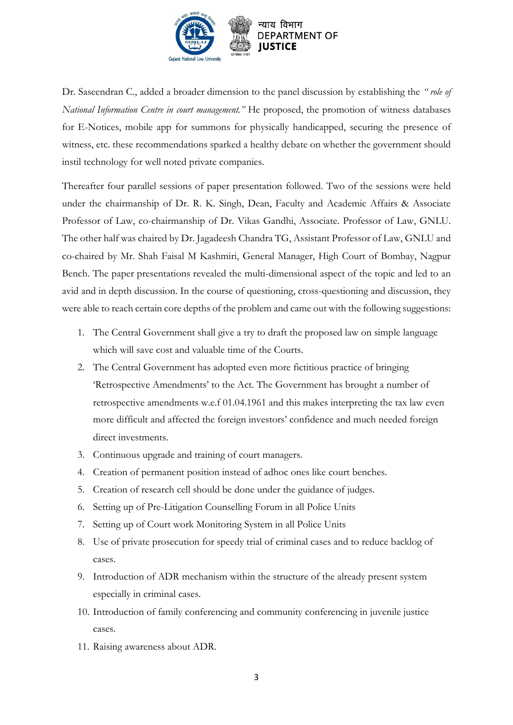

Dr. Saseendran C., added a broader dimension to the panel discussion by establishing the *" role of National Information Centre in court management."* He proposed, the promotion of witness databases for E-Notices, mobile app for summons for physically handicapped, securing the presence of witness, etc. these recommendations sparked a healthy debate on whether the government should instil technology for well noted private companies.

Thereafter four parallel sessions of paper presentation followed. Two of the sessions were held under the chairmanship of Dr. R. K. Singh, Dean, Faculty and Academic Affairs & Associate Professor of Law, co-chairmanship of Dr. Vikas Gandhi, Associate. Professor of Law, GNLU. The other half was chaired by Dr. Jagadeesh Chandra TG, Assistant Professor of Law, GNLU and co-chaired by Mr. Shah Faisal M Kashmiri, General Manager, High Court of Bombay, Nagpur Bench. The paper presentations revealed the multi-dimensional aspect of the topic and led to an avid and in depth discussion. In the course of questioning, cross-questioning and discussion, they were able to reach certain core depths of the problem and came out with the following suggestions:

- 1. The Central Government shall give a try to draft the proposed law on simple language which will save cost and valuable time of the Courts.
- 2. The Central Government has adopted even more fictitious practice of bringing 'Retrospective Amendments' to the Act. The Government has brought a number of retrospective amendments w.e.f 01.04.1961 and this makes interpreting the tax law even more difficult and affected the foreign investors' confidence and much needed foreign direct investments.
- 3. Continuous upgrade and training of court managers.
- 4. Creation of permanent position instead of adhoc ones like court benches.
- 5. Creation of research cell should be done under the guidance of judges.
- 6. Setting up of Pre-Litigation Counselling Forum in all Police Units
- 7. Setting up of Court work Monitoring System in all Police Units
- 8. Use of private prosecution for speedy trial of criminal cases and to reduce backlog of cases.
- 9. Introduction of ADR mechanism within the structure of the already present system especially in criminal cases.
- 10. Introduction of family conferencing and community conferencing in juvenile justice cases.
- 11. Raising awareness about ADR.